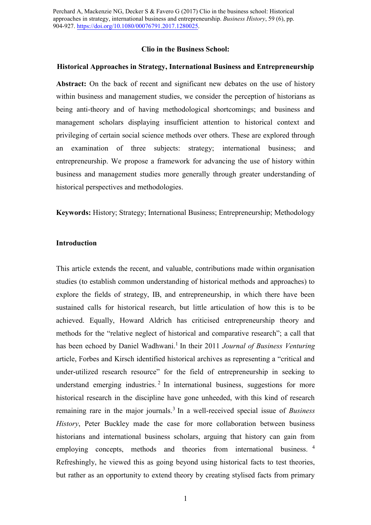Perchard A, Mackenzie NG, Decker S & Favero G (2017) Clio in the business school: Historical approaches in strategy, international business and entrepreneurship. *Business History*, 59 (6), pp. 904-927. [https://doi.org/10.1080/00076791.2017.1280025.](https://doi.org/10.1080/00076791.2017.1280025)

#### **Clio in the Business School:**

#### **Historical Approaches in Strategy, International Business and Entrepreneurship**

Abstract: On the back of recent and significant new debates on the use of history within business and management studies, we consider the perception of historians as being anti-theory and of having methodological shortcomings; and business and management scholars displaying insufficient attention to historical context and privileging of certain social science methods over others. These are explored through an examination of three subjects: strategy; international business; and entrepreneurship. We propose a framework for advancing the use of history within business and management studies more generally through greater understanding of historical perspectives and methodologies.

**Keywords:** History; Strategy; International Business; Entrepreneurship; Methodology

# **Introduction**

This article extends the recent, and valuable, contributions made within organisation studies (to establish common understanding of historical methods and approaches) to explore the fields of strategy, IB, and entrepreneurship, in which there have been sustained calls for historical research, but little articulation of how this is to be achieved. Equally, Howard Aldrich has criticised entrepreneurship theory and methods for the "relative neglect of historical and comparative research"; a call that has been echoed by Daniel Wadhwani.<sup>1</sup> In their 2011 *Journal of Business Venturing* article, Forbes and Kirsch identified historical archives as representing a "critical and under-utilized research resource" for the field of entrepreneurship in seeking to understand emerging industries.<sup>2</sup> In international business, suggestions for more historical research in the discipline have gone unheeded, with this kind of research remaining rare in the major journals.<sup>3</sup> In a well-received special issue of *Business History*, Peter Buckley made the case for more collaboration between business historians and international business scholars, arguing that history can gain from employing concepts, methods and theories from international business. <sup>4</sup> Refreshingly, he viewed this as going beyond using historical facts to test theories, but rather as an opportunity to extend theory by creating stylised facts from primary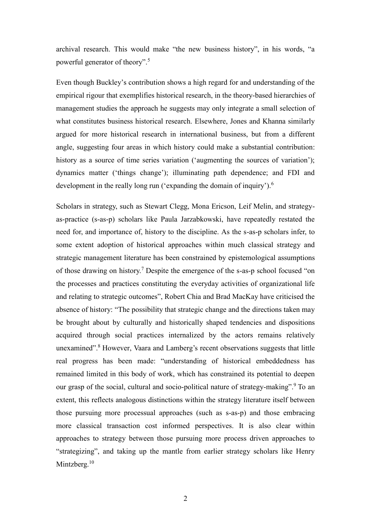archival research. This would make "the new business history", in his words, "a powerful generator of theory".<sup>5</sup>

Even though Buckley's contribution shows a high regard for and understanding of the empirical rigour that exemplifies historical research, in the theory-based hierarchies of management studies the approach he suggests may only integrate a small selection of what constitutes business historical research. Elsewhere, Jones and Khanna similarly argued for more historical research in international business, but from a different angle, suggesting four areas in which history could make a substantial contribution: history as a source of time series variation ('augmenting the sources of variation'); dynamics matter ('things change'); illuminating path dependence; and FDI and development in the really long run ('expanding the domain of inquiry').<sup>6</sup>

Scholars in strategy, such as Stewart Clegg, Mona Ericson, Leif Melin, and strategyas-practice (s-as-p) scholars like Paula Jarzabkowski, have repeatedly restated the need for, and importance of, history to the discipline. As the s-as-p scholars infer, to some extent adoption of historical approaches within much classical strategy and strategic management literature has been constrained by epistemological assumptions of those drawing on history.<sup>7</sup> Despite the emergence of the s-as-p school focused "on the processes and practices constituting the everyday activities of organizational life and relating to strategic outcomes", Robert Chia and Brad MacKay have criticised the absence of history: "The possibility that strategic change and the directions taken may be brought about by culturally and historically shaped tendencies and dispositions acquired through social practices internalized by the actors remains relatively unexamined".<sup>8</sup> However, Vaara and Lamberg's recent observations suggests that little real progress has been made: "understanding of historical embeddedness has remained limited in this body of work, which has constrained its potential to deepen our grasp of the social, cultural and socio-political nature of strategy-making".<sup>9</sup> To an extent, this reflects analogous distinctions within the strategy literature itself between those pursuing more processual approaches (such as s-as-p) and those embracing more classical transaction cost informed perspectives. It is also clear within approaches to strategy between those pursuing more process driven approaches to "strategizing", and taking up the mantle from earlier strategy scholars like Henry Mintzberg.<sup>10</sup>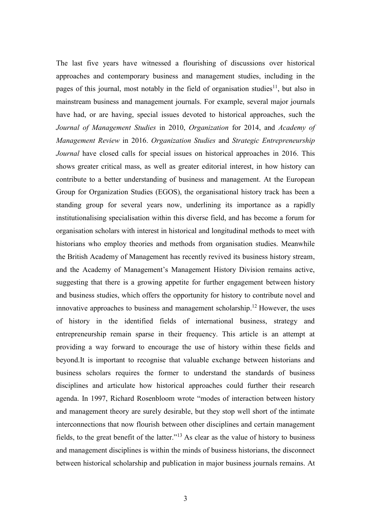The last five years have witnessed a flourishing of discussions over historical approaches and contemporary business and management studies, including in the pages of this journal, most notably in the field of organisation studies<sup>11</sup>, but also in mainstream business and management journals. For example, several major journals have had, or are having, special issues devoted to historical approaches, such the *Journal of Management Studies* in 2010, *Organization* for 2014, and *Academy of Management Review* in 2016. *Organization Studies* and *Strategic Entrepreneurship Journal* have closed calls for special issues on historical approaches in 2016. This shows greater critical mass, as well as greater editorial interest, in how history can contribute to a better understanding of business and management. At the European Group for Organization Studies (EGOS), the organisational history track has been a standing group for several years now, underlining its importance as a rapidly institutionalising specialisation within this diverse field, and has become a forum for organisation scholars with interest in historical and longitudinal methods to meet with historians who employ theories and methods from organisation studies. Meanwhile the British Academy of Management has recently revived its business history stream, and the Academy of Management's Management History Division remains active, suggesting that there is a growing appetite for further engagement between history and business studies, which offers the opportunity for history to contribute novel and innovative approaches to business and management scholarship.<sup>12</sup> However, the uses of history in the identified fields of international business, strategy and entrepreneurship remain sparse in their frequency. This article is an attempt at providing a way forward to encourage the use of history within these fields and beyond.It is important to recognise that valuable exchange between historians and business scholars requires the former to understand the standards of business disciplines and articulate how historical approaches could further their research agenda. In 1997, Richard Rosenbloom wrote "modes of interaction between history and management theory are surely desirable, but they stop well short of the intimate interconnections that now flourish between other disciplines and certain management fields, to the great benefit of the latter."<sup>13</sup> As clear as the value of history to business and management disciplines is within the minds of business historians, the disconnect between historical scholarship and publication in major business journals remains. At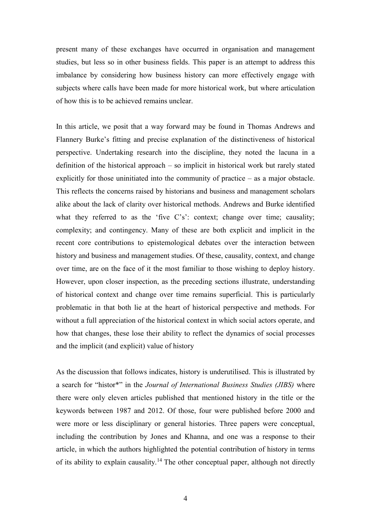present many of these exchanges have occurred in organisation and management studies, but less so in other business fields. This paper is an attempt to address this imbalance by considering how business history can more effectively engage with subjects where calls have been made for more historical work, but where articulation of how this is to be achieved remains unclear.

In this article, we posit that a way forward may be found in Thomas Andrews and Flannery Burke's fitting and precise explanation of the distinctiveness of historical perspective. Undertaking research into the discipline, they noted the lacuna in a definition of the historical approach – so implicit in historical work but rarely stated explicitly for those uninitiated into the community of practice – as a major obstacle. This reflects the concerns raised by historians and business and management scholars alike about the lack of clarity over historical methods. Andrews and Burke identified what they referred to as the 'five C's': context; change over time; causality; complexity; and contingency. Many of these are both explicit and implicit in the recent core contributions to epistemological debates over the interaction between history and business and management studies. Of these, causality, context, and change over time, are on the face of it the most familiar to those wishing to deploy history. However, upon closer inspection, as the preceding sections illustrate, understanding of historical context and change over time remains superficial. This is particularly problematic in that both lie at the heart of historical perspective and methods. For without a full appreciation of the historical context in which social actors operate, and how that changes, these lose their ability to reflect the dynamics of social processes and the implicit (and explicit) value of history

As the discussion that follows indicates, history is underutilised. This is illustrated by a search for "histor\*" in the *Journal of International Business Studies (JIBS)* where there were only eleven articles published that mentioned history in the title or the keywords between 1987 and 2012. Of those, four were published before 2000 and were more or less disciplinary or general histories. Three papers were conceptual, including the contribution by Jones and Khanna, and one was a response to their article, in which the authors highlighted the potential contribution of history in terms of its ability to explain causality.<sup>14</sup> The other conceptual paper, although not directly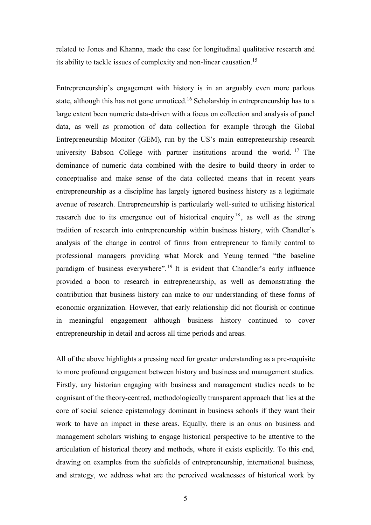related to Jones and Khanna, made the case for longitudinal qualitative research and its ability to tackle issues of complexity and non-linear causation.<sup>15</sup>

Entrepreneurship's engagement with history is in an arguably even more parlous state, although this has not gone unnoticed.<sup>16</sup> Scholarship in entrepreneurship has to a large extent been numeric data-driven with a focus on collection and analysis of panel data, as well as promotion of data collection for example through the Global Entrepreneurship Monitor (GEM), run by the US's main entrepreneurship research university Babson College with partner institutions around the world. <sup>17</sup> The dominance of numeric data combined with the desire to build theory in order to conceptualise and make sense of the data collected means that in recent years entrepreneurship as a discipline has largely ignored business history as a legitimate avenue of research. Entrepreneurship is particularly well-suited to utilising historical research due to its emergence out of historical enquiry<sup>18</sup>, as well as the strong tradition of research into entrepreneurship within business history, with Chandler's analysis of the change in control of firms from entrepreneur to family control to professional managers providing what Morck and Yeung termed "the baseline paradigm of business everywhere".<sup>19</sup> It is evident that Chandler's early influence provided a boon to research in entrepreneurship, as well as demonstrating the contribution that business history can make to our understanding of these forms of economic organization. However, that early relationship did not flourish or continue in meaningful engagement although business history continued to cover entrepreneurship in detail and across all time periods and areas.

All of the above highlights a pressing need for greater understanding as a pre-requisite to more profound engagement between history and business and management studies. Firstly, any historian engaging with business and management studies needs to be cognisant of the theory-centred, methodologically transparent approach that lies at the core of social science epistemology dominant in business schools if they want their work to have an impact in these areas. Equally, there is an onus on business and management scholars wishing to engage historical perspective to be attentive to the articulation of historical theory and methods, where it exists explicitly. To this end, drawing on examples from the subfields of entrepreneurship, international business, and strategy, we address what are the perceived weaknesses of historical work by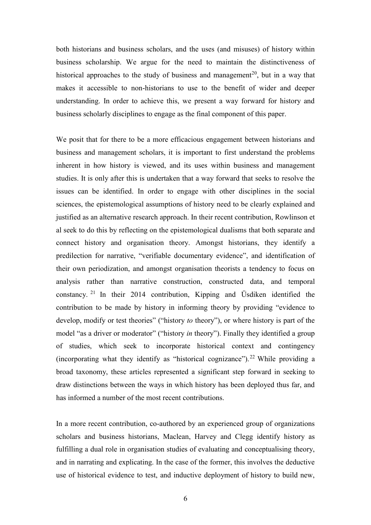both historians and business scholars, and the uses (and misuses) of history within business scholarship. We argue for the need to maintain the distinctiveness of historical approaches to the study of business and management<sup>20</sup>, but in a way that makes it accessible to non-historians to use to the benefit of wider and deeper understanding. In order to achieve this, we present a way forward for history and business scholarly disciplines to engage as the final component of this paper.

We posit that for there to be a more efficacious engagement between historians and business and management scholars, it is important to first understand the problems inherent in how history is viewed, and its uses within business and management studies. It is only after this is undertaken that a way forward that seeks to resolve the issues can be identified. In order to engage with other disciplines in the social sciences, the epistemological assumptions of history need to be clearly explained and justified as an alternative research approach. In their recent contribution, Rowlinson et al seek to do this by reflecting on the epistemological dualisms that both separate and connect history and organisation theory. Amongst historians, they identify a predilection for narrative, "verifiable documentary evidence", and identification of their own periodization, and amongst organisation theorists a tendency to focus on analysis rather than narrative construction, constructed data, and temporal constancy. <sup>21</sup> In their 2014 contribution, Kipping and Üsdiken identified the contribution to be made by history in informing theory by providing "evidence to develop, modify or test theories" ("history *to* theory"), or where history is part of the model "as a driver or moderator" ("history *in* theory"). Finally they identified a group of studies, which seek to incorporate historical context and contingency (incorporating what they identify as "historical cognizance").<sup>22</sup> While providing a broad taxonomy, these articles represented a significant step forward in seeking to draw distinctions between the ways in which history has been deployed thus far, and has informed a number of the most recent contributions.

In a more recent contribution, co-authored by an experienced group of organizations scholars and business historians, Maclean, Harvey and Clegg identify history as fulfilling a dual role in organisation studies of evaluating and conceptualising theory, and in narrating and explicating. In the case of the former, this involves the deductive use of historical evidence to test, and inductive deployment of history to build new,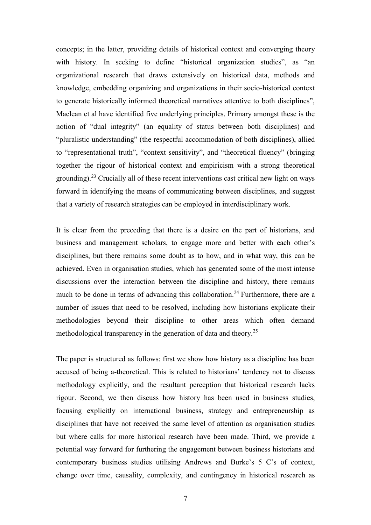concepts; in the latter, providing details of historical context and converging theory with history. In seeking to define "historical organization studies", as "an organizational research that draws extensively on historical data, methods and knowledge, embedding organizing and organizations in their socio-historical context to generate historically informed theoretical narratives attentive to both disciplines", Maclean et al have identified five underlying principles. Primary amongst these is the notion of "dual integrity" (an equality of status between both disciplines) and "pluralistic understanding" (the respectful accommodation of both disciplines), allied to "representational truth", "context sensitivity", and "theoretical fluency" (bringing together the rigour of historical context and empiricism with a strong theoretical grounding).<sup>23</sup> Crucially all of these recent interventions cast critical new light on ways forward in identifying the means of communicating between disciplines, and suggest that a variety of research strategies can be employed in interdisciplinary work.

It is clear from the preceding that there is a desire on the part of historians, and business and management scholars, to engage more and better with each other's disciplines, but there remains some doubt as to how, and in what way, this can be achieved. Even in organisation studies, which has generated some of the most intense discussions over the interaction between the discipline and history, there remains much to be done in terms of advancing this collaboration.<sup>24</sup> Furthermore, there are a number of issues that need to be resolved, including how historians explicate their methodologies beyond their discipline to other areas which often demand methodological transparency in the generation of data and theory.<sup>25</sup>

The paper is structured as follows: first we show how history as a discipline has been accused of being a-theoretical. This is related to historians' tendency not to discuss methodology explicitly, and the resultant perception that historical research lacks rigour. Second, we then discuss how history has been used in business studies, focusing explicitly on international business, strategy and entrepreneurship as disciplines that have not received the same level of attention as organisation studies but where calls for more historical research have been made. Third, we provide a potential way forward for furthering the engagement between business historians and contemporary business studies utilising Andrews and Burke's 5 C's of context, change over time, causality, complexity, and contingency in historical research as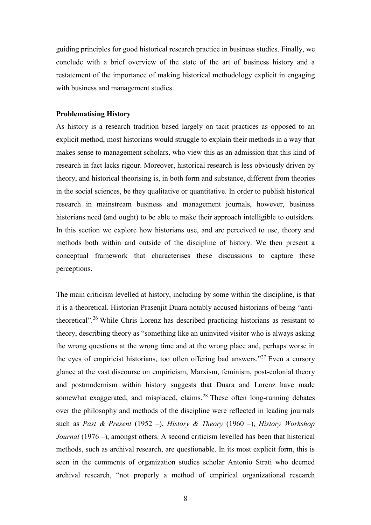guiding principles for good historical research practice in business studies. Finally, we conclude with a brief overview of the state of the art of business history and a restatement of the importance of making historical methodology explicit in engaging with business and management studies.

## **Problematising History**

As history is a research tradition based largely on tacit practices as opposed to an explicit method, most historians would struggle to explain their methods in a way that makes sense to management scholars, who view this as an admission that this kind of research in fact lacks rigour. Moreover, historical research is less obviously driven by theory, and historical theorising is, in both form and substance, different from theories in the social sciences, be they qualitative or quantitative. In order to publish historical research in mainstream business and management journals, however, business historians need (and ought) to be able to make their approach intelligible to outsiders. In this section we explore how historians use, and are perceived to use, theory and methods both within and outside of the discipline of history. We then present a conceptual framework that characterises these discussions to capture these perceptions.

The main criticism levelled at history, including by some within the discipline, is that it is a-theoretical. Historian Prasenjit Duara notably accused historians of being "antitheoretical".<sup>26</sup> While Chris Lorenz has described practicing historians as resistant to theory, describing theory as "something like an uninvited visitor who is always asking the wrong questions at the wrong time and at the wrong place and, perhaps worse in the eyes of empiricist historians, too often offering bad answers."<sup>27</sup> Even a cursory glance at the vast discourse on empiricism, Marxism, feminism, post-colonial theory and postmodernism within history suggests that Duara and Lorenz have made somewhat exaggerated, and misplaced, claims.<sup>28</sup> These often long-running debates over the philosophy and methods of the discipline were reflected in leading journals such as *Past & Present* (1952 –), *History & Theory* (1960 –), *History Workshop Journal* (1976 –), amongst others. A second criticism levelled has been that historical methods, such as archival research, are questionable. In its most explicit form, this is seen in the comments of organization studies scholar Antonio Strati who deemed archival research, "not properly a method of empirical organizational research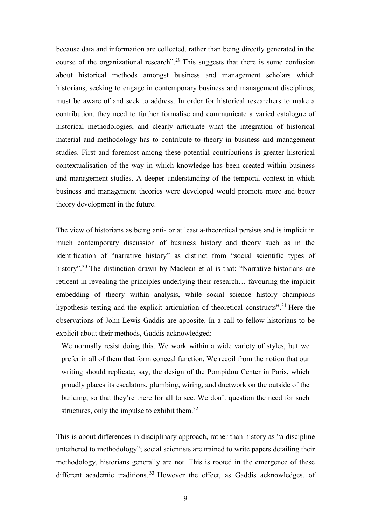because data and information are collected, rather than being directly generated in the course of the organizational research".<sup>29</sup> This suggests that there is some confusion about historical methods amongst business and management scholars which historians, seeking to engage in contemporary business and management disciplines, must be aware of and seek to address. In order for historical researchers to make a contribution, they need to further formalise and communicate a varied catalogue of historical methodologies, and clearly articulate what the integration of historical material and methodology has to contribute to theory in business and management studies. First and foremost among these potential contributions is greater historical contextualisation of the way in which knowledge has been created within business and management studies. A deeper understanding of the temporal context in which business and management theories were developed would promote more and better theory development in the future.

The view of historians as being anti- or at least a-theoretical persists and is implicit in much contemporary discussion of business history and theory such as in the identification of "narrative history" as distinct from "social scientific types of history".<sup>30</sup> The distinction drawn by Maclean et al is that: "Narrative historians are reticent in revealing the principles underlying their research… favouring the implicit embedding of theory within analysis, while social science history champions hypothesis testing and the explicit articulation of theoretical constructs".<sup>31</sup> Here the observations of John Lewis Gaddis are apposite. In a call to fellow historians to be explicit about their methods, Gaddis acknowledged:

We normally resist doing this. We work within a wide variety of styles, but we prefer in all of them that form conceal function. We recoil from the notion that our writing should replicate, say, the design of the Pompidou Center in Paris, which proudly places its escalators, plumbing, wiring, and ductwork on the outside of the building, so that they're there for all to see. We don't question the need for such structures, only the impulse to exhibit them. $32$ 

This is about differences in disciplinary approach, rather than history as "a discipline untethered to methodology"; social scientists are trained to write papers detailing their methodology, historians generally are not. This is rooted in the emergence of these different academic traditions.<sup>33</sup> However the effect, as Gaddis acknowledges, of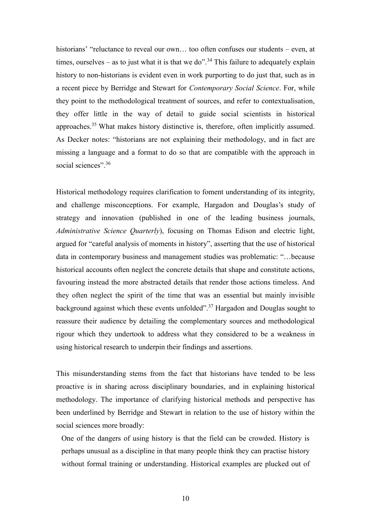historians' "reluctance to reveal our own... too often confuses our students – even, at times, ourselves – as to just what it is that we do".<sup>34</sup> This failure to adequately explain history to non-historians is evident even in work purporting to do just that, such as in a recent piece by Berridge and Stewart for *Contemporary Social Science*. For, while they point to the methodological treatment of sources, and refer to contextualisation, they offer little in the way of detail to guide social scientists in historical approaches.<sup>35</sup> What makes history distinctive is, therefore, often implicitly assumed. As Decker notes: "historians are not explaining their methodology, and in fact are missing a language and a format to do so that are compatible with the approach in social sciences".<sup>36</sup>

Historical methodology requires clarification to foment understanding of its integrity, and challenge misconceptions. For example, Hargadon and Douglas's study of strategy and innovation (published in one of the leading business journals, *Administrative Science Quarterly*), focusing on Thomas Edison and electric light, argued for "careful analysis of moments in history", asserting that the use of historical data in contemporary business and management studies was problematic: "…because historical accounts often neglect the concrete details that shape and constitute actions, favouring instead the more abstracted details that render those actions timeless. And they often neglect the spirit of the time that was an essential but mainly invisible background against which these events unfolded".<sup>37</sup> Hargadon and Douglas sought to reassure their audience by detailing the complementary sources and methodological rigour which they undertook to address what they considered to be a weakness in using historical research to underpin their findings and assertions.

This misunderstanding stems from the fact that historians have tended to be less proactive is in sharing across disciplinary boundaries, and in explaining historical methodology. The importance of clarifying historical methods and perspective has been underlined by Berridge and Stewart in relation to the use of history within the social sciences more broadly:

One of the dangers of using history is that the field can be crowded. History is perhaps unusual as a discipline in that many people think they can practise history without formal training or understanding. Historical examples are plucked out of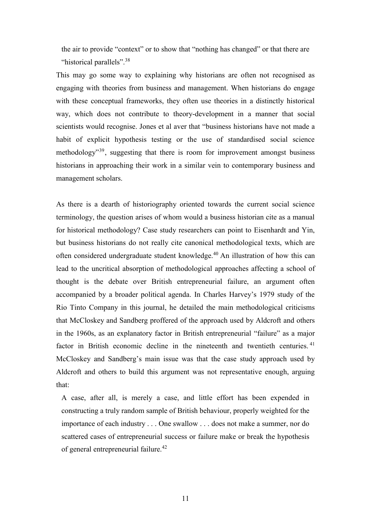the air to provide "context" or to show that "nothing has changed" or that there are "historical parallels".<sup>38</sup>

This may go some way to explaining why historians are often not recognised as engaging with theories from business and management. When historians do engage with these conceptual frameworks, they often use theories in a distinctly historical way, which does not contribute to theory-development in a manner that social scientists would recognise. Jones et al aver that "business historians have not made a habit of explicit hypothesis testing or the use of standardised social science methodology<sup>39</sup>, suggesting that there is room for improvement amongst business historians in approaching their work in a similar vein to contemporary business and management scholars.

As there is a dearth of historiography oriented towards the current social science terminology, the question arises of whom would a business historian cite as a manual for historical methodology? Case study researchers can point to Eisenhardt and Yin, but business historians do not really cite canonical methodological texts, which are often considered undergraduate student knowledge.<sup>40</sup> An illustration of how this can lead to the uncritical absorption of methodological approaches affecting a school of thought is the debate over British entrepreneurial failure, an argument often accompanied by a broader political agenda. In Charles Harvey's 1979 study of the Rio Tinto Company in this journal, he detailed the main methodological criticisms that McCloskey and Sandberg proffered of the approach used by Aldcroft and others in the 1960s, as an explanatory factor in British entrepreneurial "failure" as a major factor in British economic decline in the nineteenth and twentieth centuries.<sup>41</sup> McCloskey and Sandberg's main issue was that the case study approach used by Aldcroft and others to build this argument was not representative enough, arguing that:

A case, after all, is merely a case, and little effort has been expended in constructing a truly random sample of British behaviour, properly weighted for the importance of each industry . . . One swallow . . . does not make a summer, nor do scattered cases of entrepreneurial success or failure make or break the hypothesis of general entrepreneurial failure.<sup>42</sup>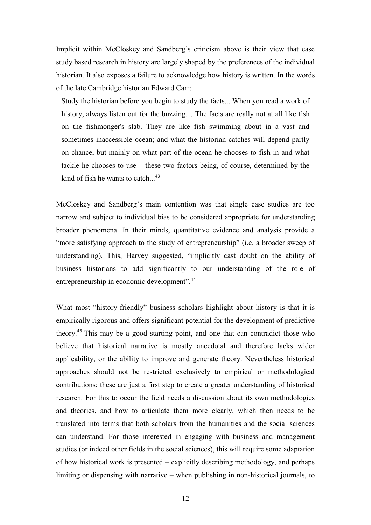Implicit within McCloskey and Sandberg's criticism above is their view that case study based research in history are largely shaped by the preferences of the individual historian. It also exposes a failure to acknowledge how history is written. In the words of the late Cambridge historian Edward Carr:

Study the historian before you begin to study the facts... When you read a work of history, always listen out for the buzzing... The facts are really not at all like fish on the fishmonger's slab. They are like fish swimming about in a vast and sometimes inaccessible ocean; and what the historian catches will depend partly on chance, but mainly on what part of the ocean he chooses to fish in and what tackle he chooses to use – these two factors being, of course, determined by the kind of fish he wants to catch...<sup>43</sup>

McCloskey and Sandberg's main contention was that single case studies are too narrow and subject to individual bias to be considered appropriate for understanding broader phenomena. In their minds, quantitative evidence and analysis provide a "more satisfying approach to the study of entrepreneurship" (i.e. a broader sweep of understanding). This, Harvey suggested, "implicitly cast doubt on the ability of business historians to add significantly to our understanding of the role of entrepreneurship in economic development".<sup>44</sup>

What most "history-friendly" business scholars highlight about history is that it is empirically rigorous and offers significant potential for the development of predictive theory.<sup>45</sup> This may be a good starting point, and one that can contradict those who believe that historical narrative is mostly anecdotal and therefore lacks wider applicability, or the ability to improve and generate theory. Nevertheless historical approaches should not be restricted exclusively to empirical or methodological contributions; these are just a first step to create a greater understanding of historical research. For this to occur the field needs a discussion about its own methodologies and theories, and how to articulate them more clearly, which then needs to be translated into terms that both scholars from the humanities and the social sciences can understand. For those interested in engaging with business and management studies (or indeed other fields in the social sciences), this will require some adaptation of how historical work is presented – explicitly describing methodology, and perhaps limiting or dispensing with narrative – when publishing in non-historical journals, to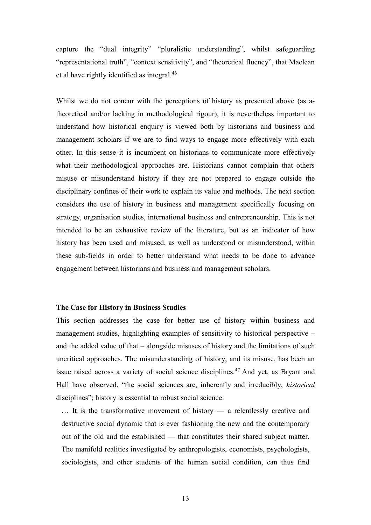capture the "dual integrity" "pluralistic understanding", whilst safeguarding "representational truth", "context sensitivity", and "theoretical fluency", that Maclean et al have rightly identified as integral.<sup>46</sup>

Whilst we do not concur with the perceptions of history as presented above (as atheoretical and/or lacking in methodological rigour), it is nevertheless important to understand how historical enquiry is viewed both by historians and business and management scholars if we are to find ways to engage more effectively with each other. In this sense it is incumbent on historians to communicate more effectively what their methodological approaches are. Historians cannot complain that others misuse or misunderstand history if they are not prepared to engage outside the disciplinary confines of their work to explain its value and methods. The next section considers the use of history in business and management specifically focusing on strategy, organisation studies, international business and entrepreneurship. This is not intended to be an exhaustive review of the literature, but as an indicator of how history has been used and misused, as well as understood or misunderstood, within these sub-fields in order to better understand what needs to be done to advance engagement between historians and business and management scholars.

### **The Case for History in Business Studies**

This section addresses the case for better use of history within business and management studies, highlighting examples of sensitivity to historical perspective – and the added value of that – alongside misuses of history and the limitations of such uncritical approaches. The misunderstanding of history, and its misuse, has been an issue raised across a variety of social science disciplines.<sup>47</sup> And yet, as Bryant and Hall have observed, "the social sciences are, inherently and irreducibly, *historical*  disciplines"; history is essential to robust social science:

… It is the transformative movement of history — a relentlessly creative and destructive social dynamic that is ever fashioning the new and the contemporary out of the old and the established — that constitutes their shared subject matter. The manifold realities investigated by anthropologists, economists, psychologists, sociologists, and other students of the human social condition, can thus find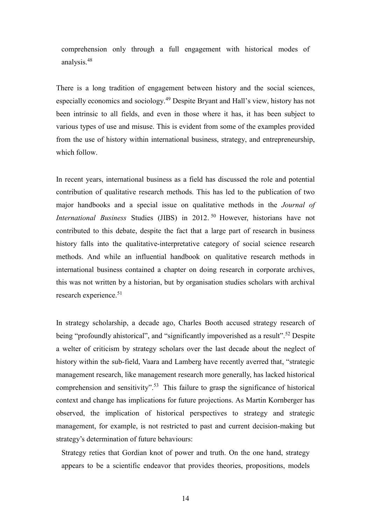comprehension only through a full engagement with historical modes of analysis.<sup>48</sup>

There is a long tradition of engagement between history and the social sciences, especially economics and sociology.<sup>49</sup> Despite Bryant and Hall's view, history has not been intrinsic to all fields, and even in those where it has, it has been subject to various types of use and misuse. This is evident from some of the examples provided from the use of history within international business, strategy, and entrepreneurship, which follow.

In recent years, international business as a field has discussed the role and potential contribution of qualitative research methods. This has led to the publication of two major handbooks and a special issue on qualitative methods in the *Journal of International Business Studies (JIBS) in 2012.*<sup>50</sup> However, historians have not contributed to this debate, despite the fact that a large part of research in business history falls into the qualitative-interpretative category of social science research methods. And while an influential handbook on qualitative research methods in international business contained a chapter on doing research in corporate archives, this was not written by a historian, but by organisation studies scholars with archival research experience.<sup>51</sup>

In strategy scholarship, a decade ago, Charles Booth accused strategy research of being "profoundly ahistorical", and "significantly impoverished as a result".<sup>52</sup> Despite a welter of criticism by strategy scholars over the last decade about the neglect of history within the sub-field, Vaara and Lamberg have recently averred that, "strategic management research, like management research more generally, has lacked historical comprehension and sensitivity".<sup>53</sup> This failure to grasp the significance of historical context and change has implications for future projections. As Martin Kornberger has observed, the implication of historical perspectives to strategy and strategic management, for example, is not restricted to past and current decision-making but strategy's determination of future behaviours:

Strategy reties that Gordian knot of power and truth. On the one hand, strategy appears to be a scientific endeavor that provides theories, propositions, models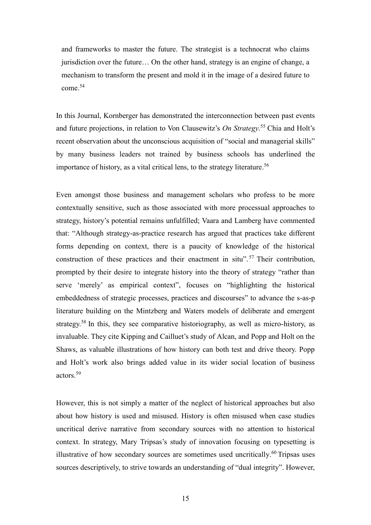and frameworks to master the future. The strategist is a technocrat who claims jurisdiction over the future… On the other hand, strategy is an engine of change, a mechanism to transform the present and mold it in the image of a desired future to come.<sup>54</sup>

In this Journal, Kornberger has demonstrated the interconnection between past events and future projections, in relation to Von Clausewitz's *On Strategy*. <sup>55</sup> Chia and Holt's recent observation about the unconscious acquisition of "social and managerial skills" by many business leaders not trained by business schools has underlined the importance of history, as a vital critical lens, to the strategy literature.<sup>56</sup>

Even amongst those business and management scholars who profess to be more contextually sensitive, such as those associated with more processual approaches to strategy, history's potential remains unfulfilled; Vaara and Lamberg have commented that: "Although strategy-as-practice research has argued that practices take different forms depending on context, there is a paucity of knowledge of the historical construction of these practices and their enactment in situ".<sup>57</sup> Their contribution, prompted by their desire to integrate history into the theory of strategy "rather than serve 'merely' as empirical context", focuses on "highlighting the historical embeddedness of strategic processes, practices and discourses" to advance the s-as-p literature building on the Mintzberg and Waters models of deliberate and emergent strategy.<sup>58</sup> In this, they see comparative historiography, as well as micro-history, as invaluable. They cite Kipping and Cailluet's study of Alcan, and Popp and Holt on the Shaws, as valuable illustrations of how history can both test and drive theory. Popp and Holt's work also brings added value in its wider social location of business actors.<sup>59</sup>

However, this is not simply a matter of the neglect of historical approaches but also about how history is used and misused. History is often misused when case studies uncritical derive narrative from secondary sources with no attention to historical context. In strategy, Mary Tripsas's study of innovation focusing on typesetting is illustrative of how secondary sources are sometimes used uncritically. $60$  Tripsas uses sources descriptively, to strive towards an understanding of "dual integrity". However,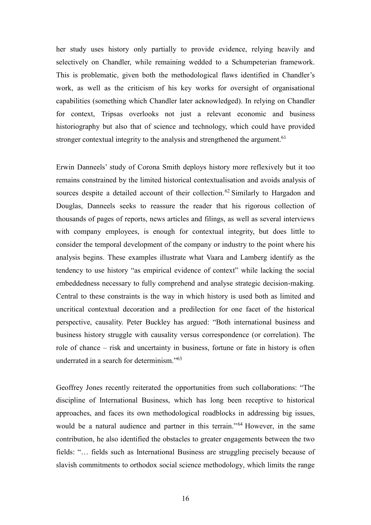her study uses history only partially to provide evidence, relying heavily and selectively on Chandler, while remaining wedded to a Schumpeterian framework. This is problematic, given both the methodological flaws identified in Chandler's work, as well as the criticism of his key works for oversight of organisational capabilities (something which Chandler later acknowledged). In relying on Chandler for context, Tripsas overlooks not just a relevant economic and business historiography but also that of science and technology, which could have provided stronger contextual integrity to the analysis and strengthened the argument.<sup>61</sup>

Erwin Danneels' study of Corona Smith deploys history more reflexively but it too remains constrained by the limited historical contextualisation and avoids analysis of sources despite a detailed account of their collection.<sup>62</sup> Similarly to Hargadon and Douglas, Danneels seeks to reassure the reader that his rigorous collection of thousands of pages of reports, news articles and filings, as well as several interviews with company employees, is enough for contextual integrity, but does little to consider the temporal development of the company or industry to the point where his analysis begins. These examples illustrate what Vaara and Lamberg identify as the tendency to use history "as empirical evidence of context" while lacking the social embeddedness necessary to fully comprehend and analyse strategic decision-making. Central to these constraints is the way in which history is used both as limited and uncritical contextual decoration and a predilection for one facet of the historical perspective, causality. Peter Buckley has argued: "Both international business and business history struggle with causality versus correspondence (or correlation). The role of chance – risk and uncertainty in business, fortune or fate in history is often underrated in a search for determinism."<sup>63</sup>

Geoffrey Jones recently reiterated the opportunities from such collaborations: "The discipline of International Business, which has long been receptive to historical approaches, and faces its own methodological roadblocks in addressing big issues, would be a natural audience and partner in this terrain."<sup>64</sup> However, in the same contribution, he also identified the obstacles to greater engagements between the two fields: "… fields such as International Business are struggling precisely because of slavish commitments to orthodox social science methodology, which limits the range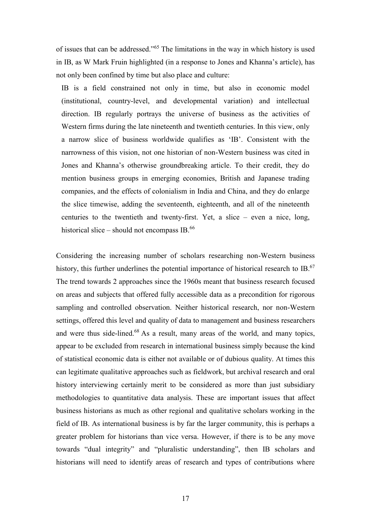of issues that can be addressed."<sup>65</sup> The limitations in the way in which history is used in IB, as W Mark Fruin highlighted (in a response to Jones and Khanna's article), has not only been confined by time but also place and culture:

IB is a field constrained not only in time, but also in economic model (institutional, country-level, and developmental variation) and intellectual direction. IB regularly portrays the universe of business as the activities of Western firms during the late nineteenth and twentieth centuries. In this view, only a narrow slice of business worldwide qualifies as 'IB'. Consistent with the narrowness of this vision, not one historian of non-Western business was cited in Jones and Khanna's otherwise groundbreaking article. To their credit, they do mention business groups in emerging economies, British and Japanese trading companies, and the effects of colonialism in India and China, and they do enlarge the slice timewise, adding the seventeenth, eighteenth, and all of the nineteenth centuries to the twentieth and twenty-first. Yet, a slice – even a nice, long, historical slice – should not encompass IB. $^{66}$ 

Considering the increasing number of scholars researching non-Western business history, this further underlines the potential importance of historical research to IB.<sup>67</sup> The trend towards 2 approaches since the 1960s meant that business research focused on areas and subjects that offered fully accessible data as a precondition for rigorous sampling and controlled observation. Neither historical research, nor non-Western settings, offered this level and quality of data to management and business researchers and were thus side-lined.<sup>68</sup> As a result, many areas of the world, and many topics, appear to be excluded from research in international business simply because the kind of statistical economic data is either not available or of dubious quality. At times this can legitimate qualitative approaches such as fieldwork, but archival research and oral history interviewing certainly merit to be considered as more than just subsidiary methodologies to quantitative data analysis. These are important issues that affect business historians as much as other regional and qualitative scholars working in the field of IB. As international business is by far the larger community, this is perhaps a greater problem for historians than vice versa. However, if there is to be any move towards "dual integrity" and "pluralistic understanding", then IB scholars and historians will need to identify areas of research and types of contributions where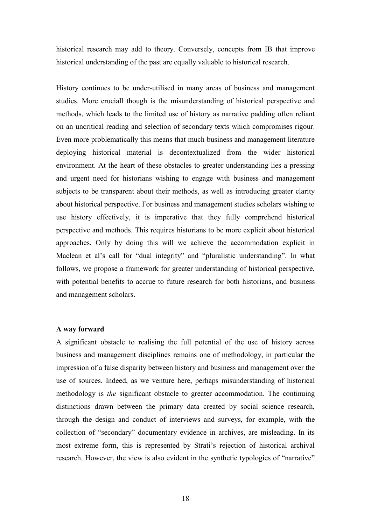historical research may add to theory. Conversely, concepts from IB that improve historical understanding of the past are equally valuable to historical research.

History continues to be under-utilised in many areas of business and management studies. More cruciall though is the misunderstanding of historical perspective and methods, which leads to the limited use of history as narrative padding often reliant on an uncritical reading and selection of secondary texts which compromises rigour. Even more problematically this means that much business and management literature deploying historical material is decontextualized from the wider historical environment. At the heart of these obstacles to greater understanding lies a pressing and urgent need for historians wishing to engage with business and management subjects to be transparent about their methods, as well as introducing greater clarity about historical perspective. For business and management studies scholars wishing to use history effectively, it is imperative that they fully comprehend historical perspective and methods. This requires historians to be more explicit about historical approaches. Only by doing this will we achieve the accommodation explicit in Maclean et al's call for "dual integrity" and "pluralistic understanding". In what follows, we propose a framework for greater understanding of historical perspective, with potential benefits to accrue to future research for both historians, and business and management scholars.

#### **A way forward**

A significant obstacle to realising the full potential of the use of history across business and management disciplines remains one of methodology, in particular the impression of a false disparity between history and business and management over the use of sources. Indeed, as we venture here, perhaps misunderstanding of historical methodology is *the* significant obstacle to greater accommodation. The continuing distinctions drawn between the primary data created by social science research, through the design and conduct of interviews and surveys, for example, with the collection of "secondary" documentary evidence in archives, are misleading. In its most extreme form, this is represented by Strati's rejection of historical archival research. However, the view is also evident in the synthetic typologies of "narrative"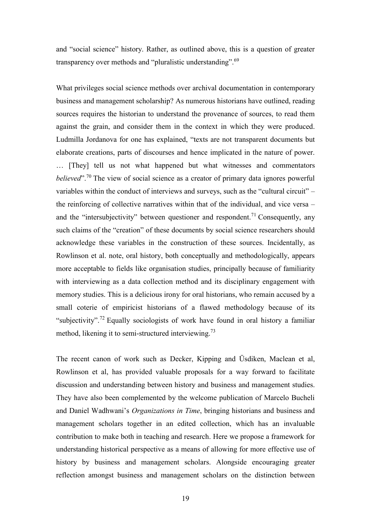and "social science" history. Rather, as outlined above, this is a question of greater transparency over methods and "pluralistic understanding".<sup>69</sup>

What privileges social science methods over archival documentation in contemporary business and management scholarship? As numerous historians have outlined, reading sources requires the historian to understand the provenance of sources, to read them against the grain, and consider them in the context in which they were produced. Ludmilla Jordanova for one has explained, "texts are not transparent documents but elaborate creations, parts of discourses and hence implicated in the nature of power. … [They] tell us not what happened but what witnesses and commentators *believed*". <sup>70</sup> The view of social science as a creator of primary data ignores powerful variables within the conduct of interviews and surveys, such as the "cultural circuit" – the reinforcing of collective narratives within that of the individual, and vice versa – and the "intersubjectivity" between questioner and respondent.<sup>71</sup> Consequently, any such claims of the "creation" of these documents by social science researchers should acknowledge these variables in the construction of these sources. Incidentally, as Rowlinson et al. note, oral history, both conceptually and methodologically, appears more acceptable to fields like organisation studies, principally because of familiarity with interviewing as a data collection method and its disciplinary engagement with memory studies. This is a delicious irony for oral historians, who remain accused by a small coterie of empiricist historians of a flawed methodology because of its "subjectivity".<sup>72</sup> Equally sociologists of work have found in oral history a familiar method, likening it to semi-structured interviewing.<sup>73</sup>

The recent canon of work such as Decker, Kipping and Üsdiken, Maclean et al, Rowlinson et al, has provided valuable proposals for a way forward to facilitate discussion and understanding between history and business and management studies. They have also been complemented by the welcome publication of Marcelo Bucheli and Daniel Wadhwani's *Organizations in Time*, bringing historians and business and management scholars together in an edited collection, which has an invaluable contribution to make both in teaching and research. Here we propose a framework for understanding historical perspective as a means of allowing for more effective use of history by business and management scholars. Alongside encouraging greater reflection amongst business and management scholars on the distinction between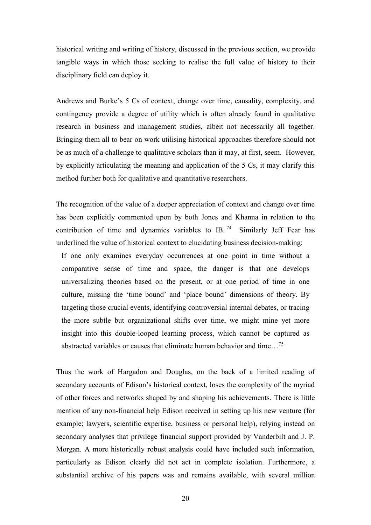historical writing and writing of history, discussed in the previous section, we provide tangible ways in which those seeking to realise the full value of history to their disciplinary field can deploy it.

Andrews and Burke's 5 Cs of context, change over time, causality, complexity, and contingency provide a degree of utility which is often already found in qualitative research in business and management studies, albeit not necessarily all together. Bringing them all to bear on work utilising historical approaches therefore should not be as much of a challenge to qualitative scholars than it may, at first, seem. However, by explicitly articulating the meaning and application of the 5 Cs, it may clarify this method further both for qualitative and quantitative researchers.

The recognition of the value of a deeper appreciation of context and change over time has been explicitly commented upon by both Jones and Khanna in relation to the contribution of time and dynamics variables to IB.<sup>74</sup> Similarly Jeff Fear has underlined the value of historical context to elucidating business decision-making:

If one only examines everyday occurrences at one point in time without a comparative sense of time and space, the danger is that one develops universalizing theories based on the present, or at one period of time in one culture, missing the 'time bound' and 'place bound' dimensions of theory. By targeting those crucial events, identifying controversial internal debates, or tracing the more subtle but organizational shifts over time, we might mine yet more insight into this double-looped learning process, which cannot be captured as abstracted variables or causes that eliminate human behavior and time...<sup>75</sup>

Thus the work of Hargadon and Douglas, on the back of a limited reading of secondary accounts of Edison's historical context, loses the complexity of the myriad of other forces and networks shaped by and shaping his achievements. There is little mention of any non-financial help Edison received in setting up his new venture (for example; lawyers, scientific expertise, business or personal help), relying instead on secondary analyses that privilege financial support provided by Vanderbilt and J. P. Morgan. A more historically robust analysis could have included such information, particularly as Edison clearly did not act in complete isolation. Furthermore, a substantial archive of his papers was and remains available, with several million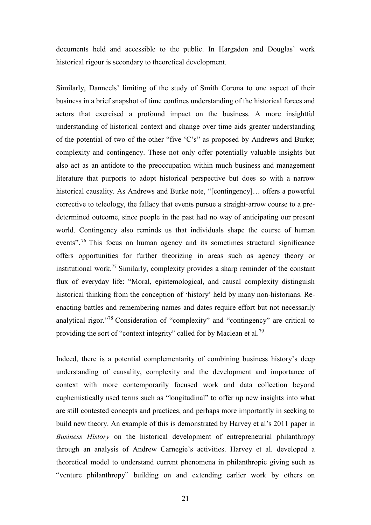documents held and accessible to the public. In Hargadon and Douglas' work historical rigour is secondary to theoretical development.

Similarly, Danneels' limiting of the study of Smith Corona to one aspect of their business in a brief snapshot of time confines understanding of the historical forces and actors that exercised a profound impact on the business. A more insightful understanding of historical context and change over time aids greater understanding of the potential of two of the other "five 'C's" as proposed by Andrews and Burke; complexity and contingency. These not only offer potentially valuable insights but also act as an antidote to the preoccupation within much business and management literature that purports to adopt historical perspective but does so with a narrow historical causality. As Andrews and Burke note, "[contingency]... offers a powerful corrective to teleology, the fallacy that events pursue a straight-arrow course to a predetermined outcome, since people in the past had no way of anticipating our present world. Contingency also reminds us that individuals shape the course of human events".<sup>76</sup> This focus on human agency and its sometimes structural significance offers opportunities for further theorizing in areas such as agency theory or institutional work.<sup>77</sup> Similarly, complexity provides a sharp reminder of the constant flux of everyday life: "Moral, epistemological, and causal complexity distinguish historical thinking from the conception of 'history' held by many non-historians. Reenacting battles and remembering names and dates require effort but not necessarily analytical rigor."<sup>78</sup> Consideration of "complexity" and "contingency" are critical to providing the sort of "context integrity" called for by Maclean et al.<sup>79</sup>

Indeed, there is a potential complementarity of combining business history's deep understanding of causality, complexity and the development and importance of context with more contemporarily focused work and data collection beyond euphemistically used terms such as "longitudinal" to offer up new insights into what are still contested concepts and practices, and perhaps more importantly in seeking to build new theory. An example of this is demonstrated by Harvey et al's 2011 paper in *Business History* on the historical development of entrepreneurial philanthropy through an analysis of Andrew Carnegie's activities. Harvey et al. developed a theoretical model to understand current phenomena in philanthropic giving such as "venture philanthropy" building on and extending earlier work by others on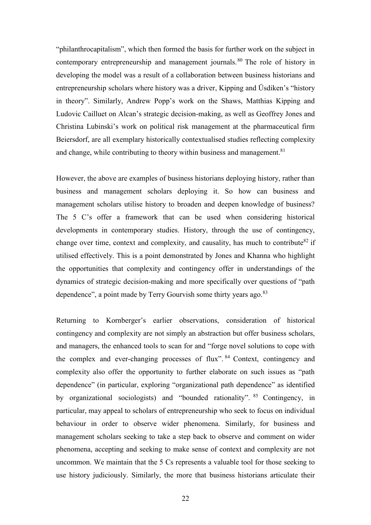"philanthrocapitalism", which then formed the basis for further work on the subject in contemporary entrepreneurship and management journals.<sup>80</sup> The role of history in developing the model was a result of a collaboration between business historians and entrepreneurship scholars where history was a driver, Kipping and Üsdiken's "history in theory". Similarly, Andrew Popp's work on the Shaws, Matthias Kipping and Ludovic Cailluet on Alcan's strategic decision-making, as well as Geoffrey Jones and Christina Lubinski's work on political risk management at the pharmaceutical firm Beiersdorf, are all exemplary historically contextualised studies reflecting complexity and change, while contributing to theory within business and management.<sup>81</sup>

However, the above are examples of business historians deploying history, rather than business and management scholars deploying it. So how can business and management scholars utilise history to broaden and deepen knowledge of business? The 5 C's offer a framework that can be used when considering historical developments in contemporary studies. History, through the use of contingency, change over time, context and complexity, and causality, has much to contribute  $82$  if utilised effectively. This is a point demonstrated by Jones and Khanna who highlight the opportunities that complexity and contingency offer in understandings of the dynamics of strategic decision-making and more specifically over questions of "path dependence", a point made by Terry Gourvish some thirty years ago.<sup>83</sup>

Returning to Kornberger's earlier observations, consideration of historical contingency and complexity are not simply an abstraction but offer business scholars, and managers, the enhanced tools to scan for and "forge novel solutions to cope with the complex and ever-changing processes of flux". <sup>84</sup> Context, contingency and complexity also offer the opportunity to further elaborate on such issues as "path dependence" (in particular, exploring "organizational path dependence" as identified by organizational sociologists) and "bounded rationality". <sup>85</sup> Contingency, in particular, may appeal to scholars of entrepreneurship who seek to focus on individual behaviour in order to observe wider phenomena. Similarly, for business and management scholars seeking to take a step back to observe and comment on wider phenomena, accepting and seeking to make sense of context and complexity are not uncommon. We maintain that the 5 Cs represents a valuable tool for those seeking to use history judiciously. Similarly, the more that business historians articulate their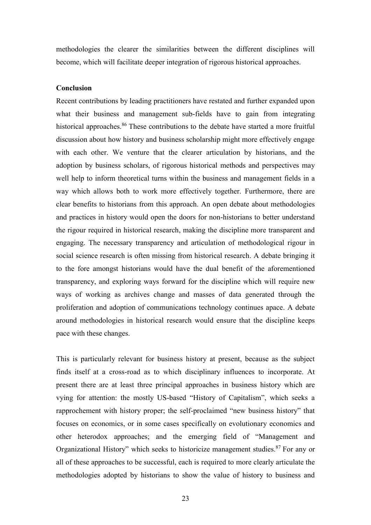methodologies the clearer the similarities between the different disciplines will become, which will facilitate deeper integration of rigorous historical approaches.

# **Conclusion**

Recent contributions by leading practitioners have restated and further expanded upon what their business and management sub-fields have to gain from integrating historical approaches.<sup>86</sup> These contributions to the debate have started a more fruitful discussion about how history and business scholarship might more effectively engage with each other. We venture that the clearer articulation by historians, and the adoption by business scholars, of rigorous historical methods and perspectives may well help to inform theoretical turns within the business and management fields in a way which allows both to work more effectively together. Furthermore, there are clear benefits to historians from this approach. An open debate about methodologies and practices in history would open the doors for non-historians to better understand the rigour required in historical research, making the discipline more transparent and engaging. The necessary transparency and articulation of methodological rigour in social science research is often missing from historical research. A debate bringing it to the fore amongst historians would have the dual benefit of the aforementioned transparency, and exploring ways forward for the discipline which will require new ways of working as archives change and masses of data generated through the proliferation and adoption of communications technology continues apace. A debate around methodologies in historical research would ensure that the discipline keeps pace with these changes.

This is particularly relevant for business history at present, because as the subject finds itself at a cross-road as to which disciplinary influences to incorporate. At present there are at least three principal approaches in business history which are vying for attention: the mostly US-based "History of Capitalism", which seeks a rapprochement with history proper; the self-proclaimed "new business history" that focuses on economics, or in some cases specifically on evolutionary economics and other heterodox approaches; and the emerging field of "Management and Organizational History" which seeks to historicize management studies.<sup>87</sup> For any or all of these approaches to be successful, each is required to more clearly articulate the methodologies adopted by historians to show the value of history to business and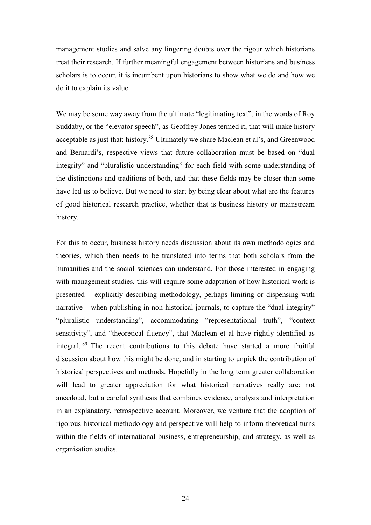management studies and salve any lingering doubts over the rigour which historians treat their research. If further meaningful engagement between historians and business scholars is to occur, it is incumbent upon historians to show what we do and how we do it to explain its value.

We may be some way away from the ultimate "legitimating text", in the words of Roy Suddaby, or the "elevator speech", as Geoffrey Jones termed it, that will make history acceptable as just that: history.<sup>88</sup> Ultimately we share Maclean et al's, and Greenwood and Bernardi's, respective views that future collaboration must be based on "dual integrity" and "pluralistic understanding" for each field with some understanding of the distinctions and traditions of both, and that these fields may be closer than some have led us to believe. But we need to start by being clear about what are the features of good historical research practice, whether that is business history or mainstream history.

For this to occur, business history needs discussion about its own methodologies and theories, which then needs to be translated into terms that both scholars from the humanities and the social sciences can understand. For those interested in engaging with management studies, this will require some adaptation of how historical work is presented – explicitly describing methodology, perhaps limiting or dispensing with narrative – when publishing in non-historical journals, to capture the "dual integrity" "pluralistic understanding", accommodating "representational truth", "context sensitivity", and "theoretical fluency", that Maclean et al have rightly identified as integral. <sup>89</sup> The recent contributions to this debate have started a more fruitful discussion about how this might be done, and in starting to unpick the contribution of historical perspectives and methods. Hopefully in the long term greater collaboration will lead to greater appreciation for what historical narratives really are: not anecdotal, but a careful synthesis that combines evidence, analysis and interpretation in an explanatory, retrospective account. Moreover, we venture that the adoption of rigorous historical methodology and perspective will help to inform theoretical turns within the fields of international business, entrepreneurship, and strategy, as well as organisation studies.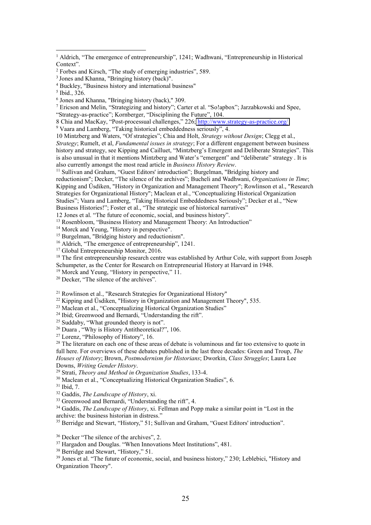$\overline{a}$ 

10 Mintzberg and Waters, "Of strategies"; Chia and Holt, *Strategy without Design*; Clegg et al., *Strategy*; Rumelt, et al, *Fundamental issues in strategy*; For a different engagement between business history and strategy, see Kipping and Cailluet, "Mintzberg's Emergent and Deliberate Strategies". This is also unusual in that it mentions Mintzberg and Water's "emergent" and "deliberate" strategy . It is also currently amongst the most read article in *Business History Review*.

<sup>11</sup> Sullivan and Graham, "Guest Editors' introduction"; Burgelman, "Bridging history and

reductionism"; Decker, "The silence of the archives"; Bucheli and Wadhwani, *Organizations in Time*; Kipping and Üsdiken, "History in Organization and Management Theory"; Rowlinson et al., "Research Strategies for Organizational History"; Maclean et al., "Conceptualizing Historical Organization Studies"; Vaara and Lamberg, "Taking Historical Embeddedness Seriously"; Decker et al., "New

<sup>13</sup> Rosenbloom, "Business History and Management Theory: An Introduction"

<sup>14</sup> Morck and Yeung, "History in perspective".

<sup>15</sup> Burgelman, "Bridging history and reductionism".

<sup>16</sup> Aldrich, "The emergence of entrepreneurship", 1241.

<sup>17</sup> Global Entrepreneurship Monitor, 2016.

<sup>18</sup> The first entrepreneurship research centre was established by Arthur Cole, with support from Joseph Schumpeter, as the Center for Research on Entrepreneurial History at Harvard in 1948.

<sup>19</sup> Morck and Yeung, "History in perspective," 11.

<sup>20</sup> Decker, "The silence of the archives".

<sup>21</sup> Rowlinson et al., "Research Strategies for Organizational History"

 $22$  Kipping and Üsdiken, "History in Organization and Management Theory", 535.

<sup>23</sup> Maclean et al., "Conceptualizing Historical Organization Studies"

<sup>24</sup> Ibid; Greenwood and Bernardi, "Understanding the rift".

<sup>25</sup> Suddaby, "What grounded theory is not".

<sup>26</sup> Duara, "Why is History Antitheoretical?", 106.

<sup>27</sup> Lorenz, "Philosophy of History", 16.

<sup>28</sup> The literature on each one of these areas of debate is voluminous and far too extensive to quote in full here. For overviews of these debates published in the last three decades: Green and Troup, *The Houses of History*; Brown, *Postmodernism for Historians*; Dworkin, *Class Struggles*; Laura Lee Downs, *Writing Gender History*.

<sup>29</sup> Strati, *Theory and Method in Organization Studies*, 133-4.

<sup>30</sup> Maclean et al., "Conceptualizing Historical Organization Studies", 6.

<sup>31</sup> Ibid, 7.

<sup>32</sup> Gaddis, *The Landscape of History*, xi.

<sup>33</sup> Greenwood and Bernardi, "Understanding the rift", 4.

<sup>34</sup> Gaddis, *The Landscape of History*, xi. Fellman and Popp make a similar point in "Lost in the archive: the business historian in distress."

<sup>35</sup> Berridge and Stewart, "History," 51; Sullivan and Graham, "Guest Editors' introduction".

<sup>36</sup> Decker "The silence of the archives", 2.

<sup>37</sup> Hargadon and Douglas. "When Innovations Meet Institutions", 481.

<sup>38</sup> Berridge and Stewart, "History," 51.

<sup>39</sup> Jones et al. "The future of economic, social, and business history," 230; Leblebici, "History and Organization Theory".

<sup>&</sup>lt;sup>1</sup> Aldrich, "The emergence of entrepreneurship", 1241; Wadhwani, "Entrepreneurship in Historical Context".

<sup>2</sup> Forbes and Kirsch, "The study of emerging industries", 589.

<sup>&</sup>lt;sup>3</sup> Jones and Khanna, "Bringing history (back)".

<sup>4</sup> Buckley, "Business history and international business"

<sup>5</sup> Ibid., 326.

<sup>6</sup> Jones and Khanna, "Bringing history (back)," 309.

<sup>7</sup> Ericson and Melin, "Strategizing and history"; Carter et al. "So!apbox"; Jarzabkowski and Spee, "Strategy-as-practice"; Kornberger, "Disciplining the Future", 104.

<sup>8</sup> Chia and MacKay, "Post-processual challenges," 226; <http://www.strategy-as-practice.org/>

<sup>9</sup> Vaara and Lamberg, "Taking historical embeddedness seriously", 4.

Business Histories!"; Foster et al., "The strategic use of historical narratives"

<sup>12</sup> Jones et al. "The future of economic, social, and business history".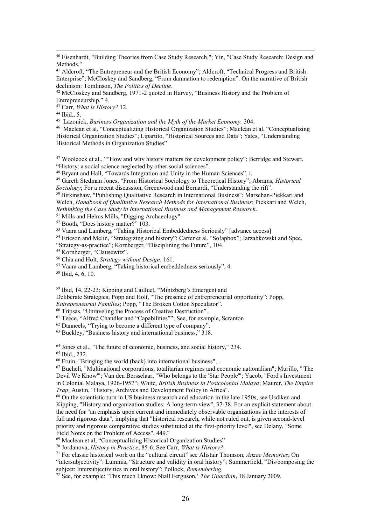<sup>42</sup> McCloskey and Sandberg, 1971-2 quoted in Harvey, "Business History and the Problem of Entrepreneurship," 4.

<sup>43</sup> Carr, *What is History?* 12.

<sup>44</sup> Ibid., 5.

 $\overline{a}$ 

45 Lazonick, *Business Organization and the Myth of the Market Economy.* 304.

<sup>46</sup> Maclean et al, "Conceptualizing Historical Organization Studies"; Maclean et al, "Conceptualizing Historical Organization Studies"; Lipartito, "Historical Sources and Data"; Yates, "Understanding Historical Methods in Organization Studies"

<sup>47</sup> Woolcock et al., ""How and why history matters for development policy"; Berridge and Stewart, "History: a social science neglected by other social sciences".

<sup>48</sup> Bryant and Hall, "Towards Integration and Unity in the Human Sciences", i.

<sup>49</sup> Gareth Stedman Jones, "From Historical Sociology to Theoretical History"; Abrams, *Historical Sociology*; For a recent discussion, Greenwood and Bernardi, "Understanding the rift".

<sup>50</sup> Birkinshaw, "Publishing Qualitative Research in International Business"; Marschan-Piekkari and Welch, *Handbook of Qualitative Research Methods for International Business*; Piekkari and Welch, *Rethinking the Case Study in International Business and Management Research*.

<sup>51</sup> Mills and Helms Mills, "Digging Archaeology".

<sup>52</sup> Booth, "Does history matter?" 103.

<sup>53</sup> Vaara and Lamberg, "Taking Historical Embeddedness Seriously" [advance access]

<sup>54</sup> Ericson and Melin, "Strategizing and history"; Carter et al. "So!apbox"; Jarzabkowski and Spee, "Strategy-as-practice"; Kornberger, "Disciplining the Future", 104.

<sup>55</sup> Kornberger, "Clausewitz".

<sup>56</sup> Chia and Holt, *Strategy without Design*, 161.

<sup>57</sup> Vaara and Lamberg, "Taking historical embeddedness seriously", 4.

<sup>58</sup> Ibid, 4, 6, 10.

<sup>59</sup> Ibid, 14, 22-23; Kipping and Cailluet, "Mintzberg's Emergent and

Deliberate Strategies; Popp and Holt, "The presence of entrepreneurial opportunity"; Popp,

*Entrepreneurial Families*; Popp, "The Broken Cotton Speculator".

<sup>60</sup> Tripsas, "Unraveling the Process of Creative Destruction".

<sup>61</sup> Teece, "Alfred Chandler and "Capabilities""; See, for example, Scranton

 $62$  Danneels, "Trying to become a different type of company".

 $63$  Buckley, "Business history and international business," 318.

<sup>64</sup> Jones et al., "The future of economic, business, and social history," 234.

<sup>65</sup> Ibid., 232.

<sup>66</sup> Fruin, "Bringing the world (back) into international business", .

<sup>67</sup> Bucheli, "Multinational corporations, totalitarian regimes and economic nationalism"; Murillo, "'The Devil We Know'"; Van den Bersselaar, "Who belongs to the 'Star People'"; Yacob, "Ford's Investment in Colonial Malaya, 1926-1957"; White, *British Business in Postcolonial Malaya*; Maurer, *The Empire Trap*; Austin, "History, Archives and Development Policy in Africa".

<sup>68</sup> On the scientistic turn in US business research and education in the late 1950s, see Usdiken and Kipping, "History and organization studies: A long-term view", 37-38. For an explicit statement about the need for "an emphasis upon current and immediately observable organizations in the interests of full and rigorous data", implying that "historical research, while not ruled out, is given second-level priority and rigorous comparative studies substituted at the first-priority level", see Delany, "Some Field Notes on the Problem of Access", 449."

<sup>69</sup> Maclean et al, "Conceptualizing Historical Organization Studies"

<sup>70</sup> Jordanova, *History in Practice*, 85-6; See Carr, *What is History?*.

<sup>71</sup> For classic historical work on the "cultural circuit" see Alistair Thomson, *Anzac Memories*; On

"intersubjectivity": Lummis, "Structure and validity in oral history"; Summerfield, "Dis/composing the subject: Intersubjectivities in oral history"; Pollock, *Remembering*.

<sup>72</sup> See, for example: 'This much I know: Niall Ferguson,' *The Guardian*, 18 January 2009.

<sup>40</sup> Eisenhardt, "Building Theories from Case Study Research."; Yin, "Case Study Research: Design and Methods."

<sup>&</sup>lt;sup>41</sup> Aldcroft, "The Entrepreneur and the British Economy"; Aldcroft, "Technical Progress and British Enterprise"; McCloskey and Sandberg, "From damnation to redemption". On the narrative of British declinism: Tomlinson, *The Politics of Decline*.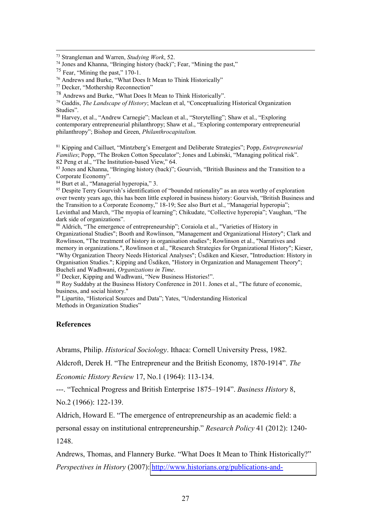<sup>73</sup> Strangleman and Warren, *Studying Work*, 52.

<sup>74</sup> Jones and Khanna, "Bringing history (back)"; Fear, "Mining the past,"

 $\overline{a}$ 

<sup>76</sup> Andrews and Burke, "What Does It Mean to Think Historically"

<sup>78</sup> Andrews and Burke, "What Does It Mean to Think Historically".

<sup>79</sup> Gaddis, *The Landscape of History*; Maclean et al, "Conceptualizing Historical Organization Studies".

<sup>80</sup> Harvey, et al., "Andrew Carnegie"; Maclean et al., "Storytelling"; Shaw et al., "Exploring contemporary entrepreneurial philanthropy; Shaw et al., "Exploring contemporary entrepreneurial philanthropy"; Bishop and Green, *Philanthrocapitalism.*

<sup>81</sup> Kipping and Cailluet, "Mintzberg's Emergent and Deliberate Strategies"; Popp, *Entrepreneurial Families*; Popp, "The Broken Cotton Speculator"; Jones and Lubinski, "Managing political risk". 82 Peng et al., "The Institution-based View," 64.

<sup>83</sup> Jones and Khanna, "Bringing history (back)"; Gourvish, "British Business and the Transition to a Corporate Economy".

<sup>84</sup> Burt et al., "Managerial hyperopia," 3.

<sup>85</sup> Despite Terry Gourvish's identification of "bounded rationality" as an area worthy of exploration over twenty years ago, this has been little explored in business history: Gourvish, "British Business and the Transition to a Corporate Economy," 18-19; See also Burt et al., "Managerial hyperopia"; Levinthal and March, "The myopia of learning"; Chikudate, "Collective hyperopia"; Vaughan, "The dark side of organizations".

<sup>86</sup> Aldrich, "The emergence of entrepreneurship"; Coraiola et al., "Varieties of History in Organizational Studies"; Booth and Rowlinson, "Management and Organizational History"; Clark and Rowlinson, "The treatment of history in organisation studies"; Rowlinson et al., "Narratives and memory in organizations.", Rowlinson et al., "Research Strategies for Organizational History"; Kieser, "Why Organization Theory Needs Historical Analyses"; Üsdiken and Kieser, "Introduction: History in Organisation Studies."; Kipping and Üsdiken, "History in Organization and Management Theory"; Bucheli and Wadhwani, *Organizations in Time*.

<sup>87</sup> Decker, Kipping and Wadhwani, "New Business Histories!".

<sup>88</sup> Roy Suddaby at the Business History Conference in 2011. Jones et al., "The future of economic, business, and social history."

<sup>89</sup> Lipartito, "Historical Sources and Data"; Yates, "Understanding Historical

Methods in Organization Studies"

## **References**

Abrams, Philip. *Historical Sociology*. Ithaca: Cornell University Press, 1982.

Aldcroft, Derek H. "The Entrepreneur and the British Economy, 1870-1914". *The* 

*Economic History Review* 17, No.1 (1964): 113-134.

---. "Technical Progress and British Enterprise 1875–1914". *Business History* 8,

No.2 (1966): 122-139.

Aldrich, Howard E. "The emergence of entrepreneurship as an academic field: a personal essay on institutional entrepreneurship." *Research Policy* 41 (2012): 1240- 1248.

Andrews, Thomas, and Flannery Burke. "What Does It Mean to Think Historically?" *Perspectives in History (2007):* [http://www.historians.org/publications-and-](http://www.historians.org/publications-and-directories/perspectives-on-history/january-2007/what-does-it-mean-to-think-historically)

 $^{75}$  Fear, "Mining the past," 170-1.

<sup>77</sup> Decker, "Mothership Reconnection"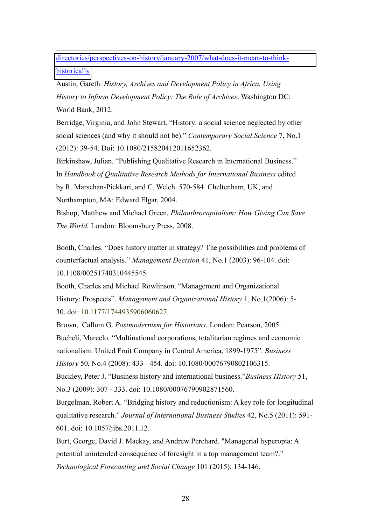[directories/perspectives-on-history/january-2007/what-does-it-mean-to-think](http://www.historians.org/publications-and-directories/perspectives-on-history/january-2007/what-does-it-mean-to-think-historically)[historically](http://www.historians.org/publications-and-directories/perspectives-on-history/january-2007/what-does-it-mean-to-think-historically) 

 $\overline{a}$ 

Austin, Gareth. *History, Archives and Development Policy in Africa. Using History to Inform Development Policy: The Role of Archives*. Washington DC: World Bank, 2012.

Berridge, Virginia, and John Stewart. "History: a social science neglected by other social sciences (and why it should not be)." *Contemporary Social Science* 7, No.1 (2012): 39-54. Doi: 10.1080/215820412011652362.

Birkinshaw, Julian. "Publishing Qualitative Research in International Business." In *Handbook of Qualitative Research Methods for International Business* edited by R. Marschan-Piekkari, and C. Welch. 570-584. Cheltenham, UK, and Northampton, MA: Edward Elgar, 2004.

Bishop, Matthew and Michael Green, *Philanthrocapitalism: How Giving Can Save The World.* London: Bloomsbury Press, 2008.

Booth, Charles. "Does history matter in strategy? The possibilities and problems of counterfactual analysis." *Management Decision* 41, No.1 (2003): 96-104. doi: 10.1108/00251740310445545.

Booth, Charles and Michael Rowlinson. "Management and Organizational History: Prospects". *Management and Organizational History* 1, No.1(2006): 5- 30. doi: 10.1177/1744935906060627.

Brown, Callum G. *Postmodernism for Historians*. London: Pearson, 2005. Bucheli, Marcelo. "Multinational corporations, totalitarian regimes and economic nationalism: United Fruit Company in Central America, 1899-1975". *Business History* 50, No.4 (2008): 433 - 454. doi: 10.1080/00076790802106315.

Buckley, Peter J. "Business history and international business."*Business History* 51, No.3 (2009): 307 - 333. doi: 10.1080/00076790902871560.

Burgelman, Robert A. "Bridging history and reductionism: A key role for longitudinal qualitative research." *Journal of International Business Studies* 42, No.5 (2011): 591- 601. doi: 10.1057/jibs.2011.12.

Burt, George, David J. Mackay, and Andrew Perchard. "Managerial hyperopia: A potential unintended consequence of foresight in a top management team?." *Technological Forecasting and Social Change* 101 (2015): 134-146.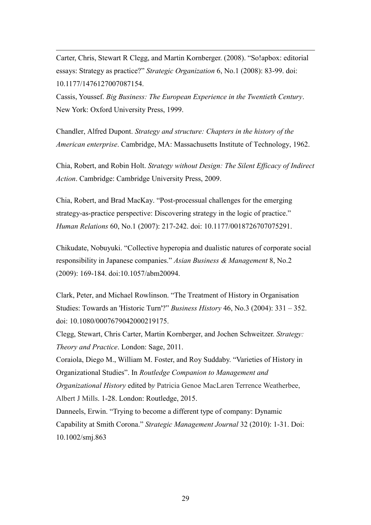Carter, Chris, Stewart R Clegg, and Martin Kornberger. (2008). "So!apbox: editorial essays: Strategy as practice?" *Strategic Organization* 6, No.1 (2008): 83-99. doi: 10.1177/1476127007087154.

 $\overline{a}$ 

Cassis, Youssef. *Big Business: The European Experience in the Twentieth Century*. New York: Oxford University Press, 1999.

Chandler, Alfred Dupont. *Strategy and structure: Chapters in the history of the American enterprise*. Cambridge, MA: Massachusetts Institute of Technology, 1962.

Chia, Robert, and Robin Holt. *Strategy without Design: The Silent Efficacy of Indirect Action*. Cambridge: Cambridge University Press, 2009.

Chia, Robert, and Brad MacKay. "Post-processual challenges for the emerging strategy-as-practice perspective: Discovering strategy in the logic of practice." *Human Relations* 60, No.1 (2007): 217-242. doi: 10.1177/0018726707075291.

Chikudate, Nobuyuki. "Collective hyperopia and dualistic natures of corporate social responsibility in Japanese companies." *Asian Business & Management* 8, No.2 (2009): 169-184. doi:10.1057/abm20094.

Clark, Peter, and Michael Rowlinson. "The Treatment of History in Organisation Studies: Towards an 'Historic Turn'?" *Business History* 46, No.3 (2004): 331 – 352. doi: 10.1080/0007679042000219175.

Clegg, Stewart, Chris Carter, Martin Kornberger, and Jochen Schweitzer. *Strategy: Theory and Practice*. London: Sage, 2011.

Coraiola, Diego M., William M. Foster, and Roy Suddaby. "Varieties of History in Organizational Studies". In *Routledge Companion to Management and Organizational History* edited b*y* Patricia Genoe MacLaren Terrence Weatherbee, Albert J Mills. 1-28. London: Routledge, 2015. Danneels, Erwin. "Trying to become a different type of company: Dynamic

Capability at Smith Corona." *Strategic Management Journal* 32 (2010): 1-31. Doi: 10.1002/smj.863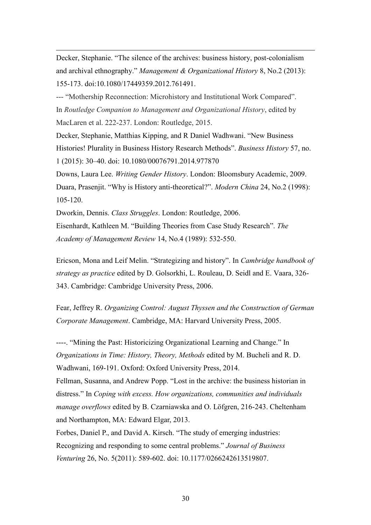Decker, Stephanie. "The silence of the archives: business history, post-colonialism and archival ethnography." *Management & Organizational History* 8, No.2 (2013): 155-173. doi:10.1080/17449359.2012.761491.

 $\overline{a}$ 

--- "Mothership Reconnection: Microhistory and Institutional Work Compared". In *Routledge Companion to Management and Organizational History*, edited by MacLaren et al. 222-237. London: Routledge, 2015.

Decker, Stephanie, Matthias Kipping, and R Daniel Wadhwani. "New Business Histories! Plurality in Business History Research Methods". *Business History* 57, no. 1 (2015): 30–40. doi: 10.1080/00076791.2014.977870

Downs, Laura Lee. *Writing Gender History*. London: Bloomsbury Academic, 2009. Duara, Prasenjit. "Why is History anti-theoretical?". *Modern China* 24, No.2 (1998): 105-120.

Dworkin, Dennis. *Class Struggles*. London: Routledge, 2006. Eisenhardt, Kathleen M. "Building Theories from Case Study Research". *The Academy of Management Review* 14, No.4 (1989): 532-550.

Ericson, Mona and Leif Melin. "Strategizing and history". In *Cambridge handbook of strategy as practice* edited by D. Golsorkhi, L. Rouleau, D. Seidl and E. Vaara, 326- 343. Cambridge: Cambridge University Press, 2006.

Fear, Jeffrey R. *Organizing Control: August Thyssen and the Construction of German Corporate Management*. Cambridge, MA: Harvard University Press, 2005.

----. "Mining the Past: Historicizing Organizational Learning and Change." In *Organizations in Time: History, Theory, Methods* edited by M. Bucheli and R. D. Wadhwani, 169-191. Oxford: Oxford University Press, 2014.

Fellman, Susanna, and Andrew Popp. "Lost in the archive: the business historian in distress." In *Coping with excess. How organizations, communities and individuals manage overflows* edited by B. Czarniawska and O. Löfgren, 216-243. Cheltenham and Northampton, MA: Edward Elgar, 2013.

Forbes, Daniel P., and David A. Kirsch. "The study of emerging industries: Recognizing and responding to some central problems." *Journal of Business Venturing* 26, No. 5(2011): 589-602. doi: 10.1177/0266242613519807.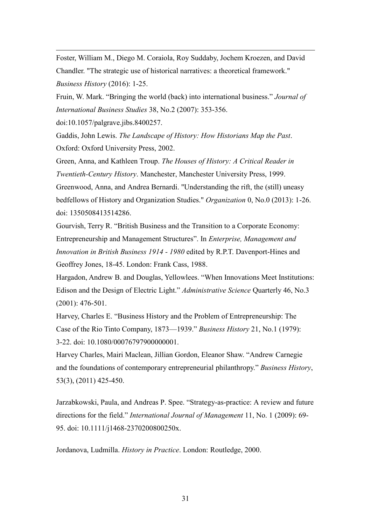Foster, William M., Diego M. Coraiola, Roy Suddaby, Jochem Kroezen, and David Chandler. "The strategic use of historical narratives: a theoretical framework." *Business History* (2016): 1-25.

Fruin, W. Mark. "Bringing the world (back) into international business." *Journal of International Business Studies* 38, No.2 (2007): 353-356.

doi:10.1057/palgrave.jibs.8400257.

 $\overline{a}$ 

Gaddis, John Lewis. *The Landscape of History: How Historians Map the Past*. Oxford: Oxford University Press, 2002.

Green, Anna, and Kathleen Troup. *The Houses of History: A Critical Reader in Twentieth-Century History*. Manchester, Manchester University Press, 1999. Greenwood, Anna, and Andrea Bernardi. "Understanding the rift, the (still) uneasy bedfellows of History and Organization Studies." *Organization* 0, No.0 (2013): 1-26. doi: 1350508413514286.

Gourvish, Terry R. "British Business and the Transition to a Corporate Economy: Entrepreneurship and Management Structures". In *Enterprise, Management and Innovation in British Business 1914 - 1980* edited by R.P.T. Davenport-Hines and Geoffrey Jones, 18-45. London: Frank Cass, 1988.

Hargadon, Andrew B. and Douglas, Yellowlees. "When Innovations Meet Institutions: Edison and the Design of Electric Light." *Administrative Science* Quarterly 46, No.3 (2001): 476-501.

Harvey, Charles E. "Business History and the Problem of Entrepreneurship: The Case of the Rio Tinto Company, 1873—1939." *Business History* 21, No.1 (1979): 3-22. doi: 10.1080/00076797900000001.

Harvey Charles, Mairi Maclean, Jillian Gordon, Eleanor Shaw. "Andrew Carnegie and the foundations of contemporary entrepreneurial philanthropy." *Business History*, 53(3), (2011) 425-450.

Jarzabkowski, Paula, and Andreas P. Spee. "Strategy-as-practice: A review and future directions for the field." *International Journal of Management* 11, No. 1 (2009): 69- 95. doi: 10.1111/j1468-2370200800250x.

Jordanova, Ludmilla. *History in Practice*. London: Routledge, 2000.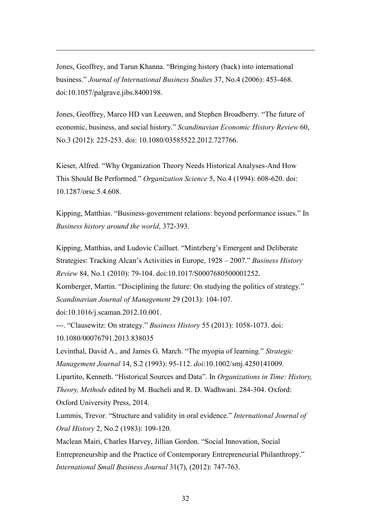Jones, Geoffrey, and Tarun Khanna. "Bringing history (back) into international business." *Journal of International Business Studies* 37, No.4 (2006): 453-468. doi:10.1057/palgrave.jibs.8400198.

Jones, Geoffrey, Marco HD van Leeuwen, and Stephen Broadberry. "The future of economic, business, and social history." *Scandinavian Economic History Review* 60, No.3 (2012): 225-253. doi: 10.1080/03585522.2012.727766.

Kieser, Alfred. "Why Organization Theory Needs Historical Analyses-And How This Should Be Performed." *Organization Science* 5, No.4 (1994): 608-620. doi: 10.1287/orsc.5.4.608.

Kipping, Matthias. "Business-government relations: beyond performance issues." In *Business history around the world*, 372-393.

Kipping, Matthias, and Ludovic Cailluet. "Mintzberg's Emergent and Deliberate Strategies: Tracking Alcan's Activities in Europe, 1928 – 2007." *Business History Review* 84, No.1 (2010): 79-104. doi:10.1017/S0007680500001252.

Kornberger, Martin. "Disciplining the future: On studying the politics of strategy." *Scandinavian Journal of Management* 29 (2013): 104-107.

doi:10.1016/j.scaman.2012.10.001.

 $\overline{a}$ 

---. "Clausewitz: On strategy." *Business History* 55 (2013): 1058-1073. doi: 10.1080/00076791.2013.838035

Levinthal, David A., and James G. March. "The myopia of learning." *Strategic Management Journal* 14, S.2 (1993): 95-112. *doi*:10.1002/smj.4250141009. Lipartito, Kenneth. "Historical Sources and Data". In *Organizations in Time: History, Theory, Methods* edited by M. Bucheli and R. D. Wadhwani. 284-304. Oxford: Oxford University Press, 2014.

Lummis, Trevor. "Structure and validity in oral evidence." *International Journal of Oral History* 2, No.2 (1983): 109-120.

Maclean Mairi, Charles Harvey, Jillian Gordon. "Social Innovation, Social Entrepreneurship and the Practice of Contemporary Entrepreneurial Philanthropy." *International Small Business Journal* 31(7), (2012): 747-763.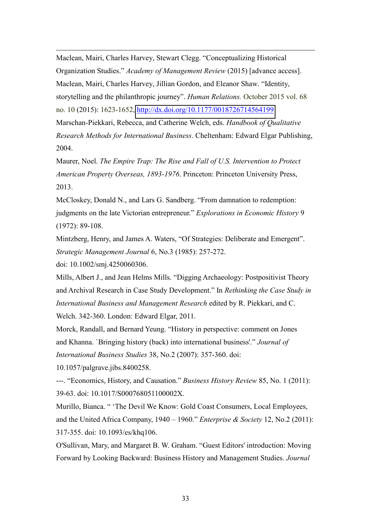Maclean, Mairi, Charles Harvey, Stewart Clegg. "Conceptualizing Historical Organization Studies." *Academy of Management Review* (2015) [advance access]. Maclean, Mairi, Charles Harvey, Jillian Gordon, and Eleanor Shaw. "Identity, storytelling and the philanthropic journey". *Human Relations.* October 2015 vol. 68 no. 10 (2015): 1623-1652,<http://dx.doi.org/10.1177/0018726714564199> Marschan-Piekkari, Rebecca, and Catherine Welch, eds. *Handbook of Qualitative Research Methods for International Business*. Cheltenham: Edward Elgar Publishing, 2004.

Maurer, Noel. *The Empire Trap: The Rise and Fall of U.S. Intervention to Protect American Property Overseas, 1893-1976*. Princeton: Princeton University Press, 2013.

McCloskey, Donald N., and Lars G. Sandberg. "From damnation to redemption: judgments on the late Victorian entrepreneur." *Explorations in Economic History* 9 (1972): 89-108.

Mintzberg, Henry, and James A. Waters, "Of Strategies: Deliberate and Emergent". *Strategic Management Journal* 6, No.3 (1985): 257-272.

doi: 10.1002/smj.4250060306.

 $\overline{a}$ 

Mills, Albert J., and Jean Helms Mills. "Digging Archaeology: Postpositivist Theory and Archival Research in Case Study Development." In *Rethinking the Case Study in International Business and Management Research* edited by R. Piekkari, and C. Welch. 342-360. London: Edward Elgar, 2011.

Morck, Randall, and Bernard Yeung. "History in perspective: comment on Jones and Khanna. `Bringing history (back) into international business'." *Journal of International Business Studies* 38, No.2 (2007): 357-360. doi:

10.1057/palgrave.jibs.8400258.

---. "Economics, History, and Causation." *Business History Review* 85, No. 1 (2011): 39-63. doi: 10.1017/S000768051100002X.

Murillo, Bianca. " 'The Devil We Know: Gold Coast Consumers, Local Employees, and the United Africa Company, 1940 – 1960." *Enterprise & Society* 12, No.2 (2011): 317-355. doi: 10.1093/es/khq106.

O'Sullivan, Mary, and Margaret B. W. Graham. "Guest Editors' introduction: Moving Forward by Looking Backward: Business History and Management Studies. *Journal*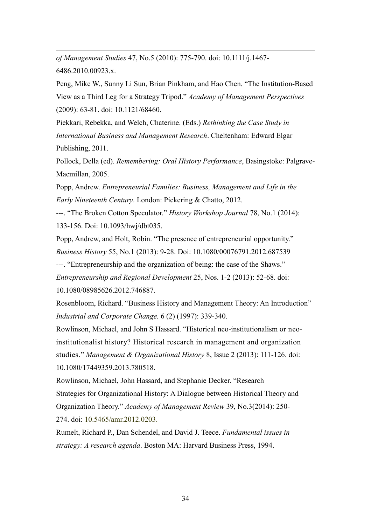*of Management Studies* 47, No.5 (2010): 775-790. doi: 10.1111/j.1467- 6486.2010.00923.x.

 $\overline{a}$ 

Peng, Mike W., Sunny Li Sun, Brian Pinkham, and Hao Chen. "The Institution-Based View as a Third Leg for a Strategy Tripod." *Academy of Management Perspectives* (2009): 63-81. doi: 10.1121/68460.

Piekkari, Rebekka, and Welch, Chaterine. (Eds.) *Rethinking the Case Study in International Business and Management Research*. Cheltenham: Edward Elgar Publishing, 2011.

Pollock, Della (ed). *Remembering: Oral History Performance*, Basingstoke: Palgrave-Macmillan, 2005.

Popp, Andrew. *Entrepreneurial Families: Business, Management and Life in the Early Nineteenth Century*. London: Pickering & Chatto, 2012.

---. "The Broken Cotton Speculator." *History Workshop Journal* 78, No.1 (2014): 133-156. Doi: 10.1093/hwj/dbt035.

Popp, Andrew, and Holt, Robin. "The presence of entrepreneurial opportunity." *Business History* 55, No.1 (2013): 9-28. Doi: 10.1080/00076791.2012.687539 ---. "Entrepreneurship and the organization of being: the case of the Shaws." *Entrepreneurship and Regional Development* 25, Nos. 1-2 (2013): 52-68. doi: 10.1080/08985626.2012.746887.

Rosenbloom, Richard. "Business History and Management Theory: An Introduction" *Industrial and Corporate Change.* 6 (2) (1997): 339-340.

Rowlinson, Michael, and John S Hassard. "Historical neo-institutionalism or neoinstitutionalist history? Historical research in management and organization studies." *Management & Organizational History* 8, Issue 2 (2013): 111-126. doi: 10.1080/17449359.2013.780518.

Rowlinson, Michael, John Hassard, and Stephanie Decker. "Research Strategies for Organizational History: A Dialogue between Historical Theory and Organization Theory." *Academy of Management Review* 39, No.3(2014): 250- 274. doi: 10.5465/amr.2012.0203.

Rumelt, Richard P., Dan Schendel, and David J. Teece. *Fundamental issues in strategy: A research agenda*. Boston MA: Harvard Business Press, 1994.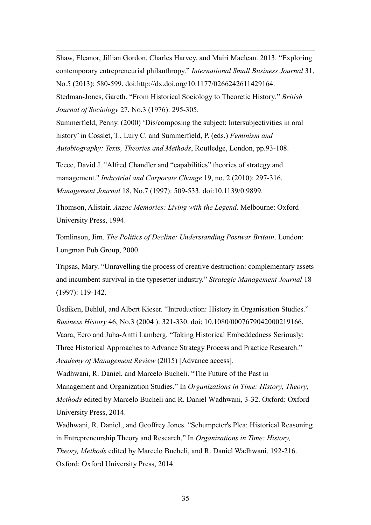Shaw, Eleanor, Jillian Gordon, Charles Harvey, and Mairi Maclean. 2013. "Exploring contemporary entrepreneurial philanthropy." *International Small Business Journal* 31, No.5 (2013): 580-599. doi:http://dx.doi.org/10.1177/0266242611429164.

 $\overline{a}$ 

Stedman-Jones, Gareth. "From Historical Sociology to Theoretic History." *British Journal of Sociology* 27, No.3 (1976): 295-305.

Summerfield, Penny. (2000) 'Dis/composing the subject: Intersubjectivities in oral history' in Cosslet, T., Lury C. and Summerfield, P. (eds.) *Feminism and Autobiography: Texts, Theories and Methods*, Routledge, London, pp.93-108.

Teece, David J. "Alfred Chandler and "capabilities" theories of strategy and management." *Industrial and Corporate Change* 19, no. 2 (2010): 297-316. *Management Journal* 18, No.7 (1997): 509-533. doi:10.1139/0.9899.

Thomson, Alistair. *Anzac Memories: Living with the Legend*. Melbourne: Oxford University Press, 1994.

Tomlinson, Jim. *The Politics of Decline: Understanding Postwar Britain*. London: Longman Pub Group, 2000.

Tripsas, Mary. "Unravelling the process of creative destruction: complementary assets and incumbent survival in the typesetter industry." *Strategic Management Journal* 18 (1997): 119-142.

Üsdiken, Behlül, and Albert Kieser. "Introduction: History in Organisation Studies." *Business History* 46, No.3 (2004 ): 321-330. doi: 10.1080/0007679042000219166. Vaara, Eero and Juha-Antti Lamberg. "Taking Historical Embeddedness Seriously: Three Historical Approaches to Advance Strategy Process and Practice Research." *Academy of Management Review* (2015) [Advance access].

Wadhwani, R. Daniel, and Marcelo Bucheli. "The Future of the Past in Management and Organization Studies." In *Organizations in Time: History, Theory, Methods* edited by Marcelo Bucheli and R. Daniel Wadhwani, 3-32. Oxford: Oxford University Press, 2014.

Wadhwani, R. Daniel., and Geoffrey Jones. "Schumpeter's Plea: Historical Reasoning in Entrepreneurship Theory and Research." In *Organizations in Time: History, Theory, Methods* edited by Marcelo Bucheli, and R. Daniel Wadhwani. 192-216. Oxford: Oxford University Press, 2014.